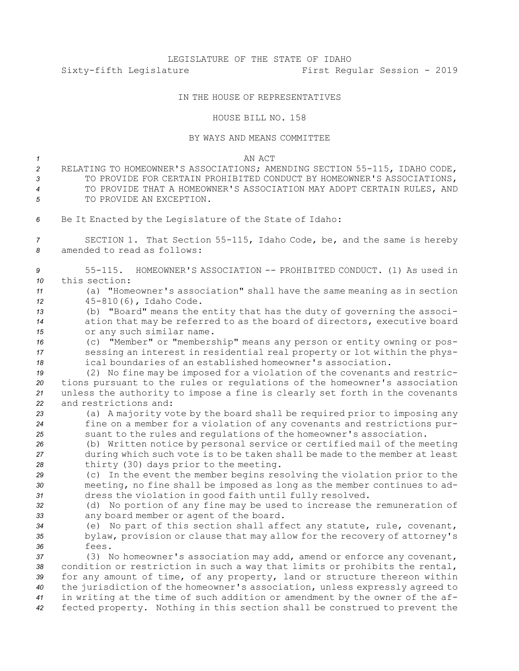## IN THE HOUSE OF REPRESENTATIVES

## HOUSE BILL NO. 158

## BY WAYS AND MEANS COMMITTEE

*1* AN ACT

 RELATING TO HOMEOWNER'S ASSOCIATIONS; AMENDING SECTION 55-115, IDAHO CODE, 3 TO PROVIDE FOR CERTAIN PROHIBITED CONDUCT BY HOMEOWNER'S ASSOCIATIONS, TO PROVIDE THAT A HOMEOWNER'S ASSOCIATION MAY ADOPT CERTAIN RULES, AND 5 TO PROVIDE AN EXCEPTION. Be It Enacted by the Legislature of the State of Idaho: SECTION 1. That Section 55-115, Idaho Code, be, and the same is hereby amended to read as follows: 55-115. HOMEOWNER'S ASSOCIATION -- PROHIBITED CONDUCT. (1) As used in this section: (a) "Homeowner's association" shall have the same meaning as in section 45-810(6), Idaho Code. (b) "Board" means the entity that has the duty of governing the associ- ation that may be referred to as the board of directors, executive board or any such similar name. (c) "Member" or "membership" means any person or entity owning or pos- sessing an interest in residential real property or lot within the phys- ical boundaries of an established homeowner's association. (2) No fine may be imposed for <sup>a</sup> violation of the covenants and restric- tions pursuant to the rules or regulations of the homeowner's association unless the authority to impose <sup>a</sup> fine is clearly set forth in the covenants and restrictions and: (a) <sup>A</sup> majority vote by the board shall be required prior to imposing any fine on <sup>a</sup> member for <sup>a</sup> violation of any covenants and restrictions pur- suant to the rules and regulations of the homeowner's association. (b) Written notice by personal service or certified mail of the meeting during which such vote is to be taken shall be made to the member at least

*<sup>28</sup>* thirty (30) days prior to the meeting. *<sup>29</sup>* (c) In the event the member begins resolving the violation prior to the

*<sup>30</sup>* meeting, no fine shall be imposed as long as the member continues to ad-*<sup>31</sup>* dress the violation in good faith until fully resolved.

*<sup>32</sup>* (d) No portion of any fine may be used to increase the remuneration of *<sup>33</sup>* any board member or agent of the board.

*<sup>34</sup>* (e) No part of this section shall affect any statute, rule, covenant, *<sup>35</sup>* bylaw, provision or clause that may allow for the recovery of attorney's *36* fees.

 (3) No homeowner's association may add, amend or enforce any covenant, condition or restriction in such <sup>a</sup> way that limits or prohibits the rental, for any amount of time, of any property, land or structure thereon within the jurisdiction of the homeowner's association, unless expressly agreed to in writing at the time of such addition or amendment by the owner of the af-fected property. Nothing in this section shall be construed to prevent the